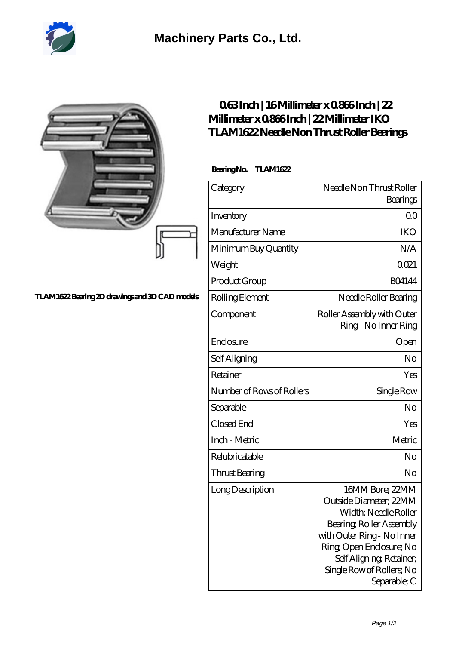

|                                               | 063Inch   16Millimeter x 0866Inch   22<br>Millimeter x 0866Inch   22 Millimeter IKO<br>TLAM1622Needle Non Thrust Roller Bearings<br>BearingNo.<br><b>TLAM1622</b> |                                                                                                                                                                                                                                 |
|-----------------------------------------------|-------------------------------------------------------------------------------------------------------------------------------------------------------------------|---------------------------------------------------------------------------------------------------------------------------------------------------------------------------------------------------------------------------------|
|                                               |                                                                                                                                                                   |                                                                                                                                                                                                                                 |
|                                               | Category                                                                                                                                                          | Needle Non Thrust Roller<br>Bearings                                                                                                                                                                                            |
|                                               | Inventory                                                                                                                                                         | 0 <sup>0</sup>                                                                                                                                                                                                                  |
|                                               | Manufacturer Name                                                                                                                                                 | <b>IKO</b>                                                                                                                                                                                                                      |
|                                               | Minimum Buy Quantity                                                                                                                                              | N/A                                                                                                                                                                                                                             |
|                                               | Weight                                                                                                                                                            | 0021                                                                                                                                                                                                                            |
|                                               | Product Group                                                                                                                                                     | <b>BO4144</b>                                                                                                                                                                                                                   |
| TLAM1622Bearing 2D drawings and 3D CAD models | Rolling Element                                                                                                                                                   | Needle Roller Bearing                                                                                                                                                                                                           |
|                                               | Component                                                                                                                                                         | Roller Assembly with Outer<br>Ring - No Inner Ring                                                                                                                                                                              |
|                                               | Enclosure                                                                                                                                                         | Open                                                                                                                                                                                                                            |
|                                               | Self Aligning                                                                                                                                                     | No                                                                                                                                                                                                                              |
|                                               | Retainer                                                                                                                                                          | Yes                                                                                                                                                                                                                             |
|                                               | Number of Rows of Rollers                                                                                                                                         | Single Row                                                                                                                                                                                                                      |
|                                               | Separable                                                                                                                                                         | N <sub>o</sub>                                                                                                                                                                                                                  |
|                                               | Closed End                                                                                                                                                        | Yes                                                                                                                                                                                                                             |
|                                               | Inch - Metric                                                                                                                                                     | Metric                                                                                                                                                                                                                          |
|                                               | Relubricatable                                                                                                                                                    | No                                                                                                                                                                                                                              |
|                                               | <b>Thrust Bearing</b>                                                                                                                                             | $\rm No$                                                                                                                                                                                                                        |
|                                               | Long Description                                                                                                                                                  | 16MM Bore; 22MM<br>Outside Diameter; 22MM<br>Width; Needle Roller<br>Bearing, Roller Assembly<br>with Outer Ring - No Inner<br>Ring Open Enclosure; No<br>Self Aligning, Retainer,<br>Single Row of Rollers, No<br>Separable; C |